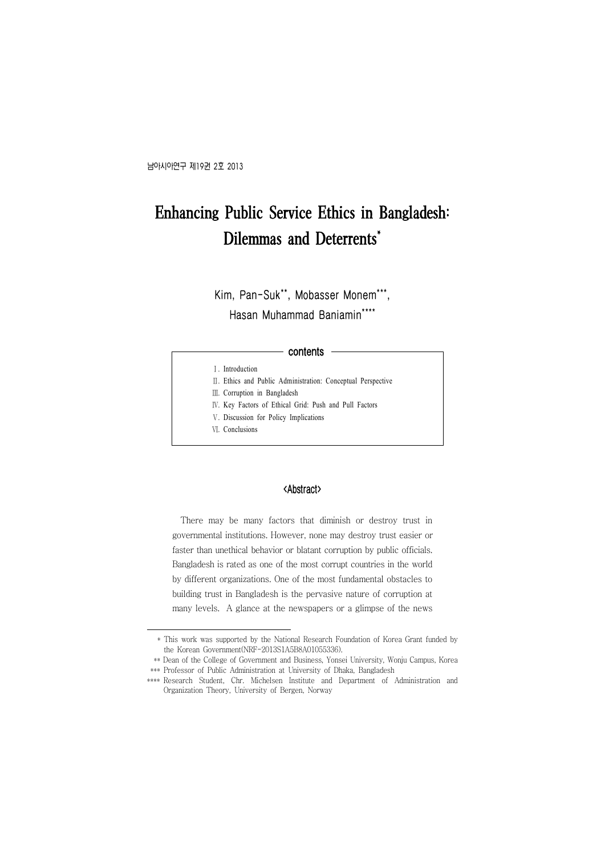# Enhancing Public Service Ethics in Bangladesh: Dilemmas and Deterrents\*

**Kim, Pan-Suk\*\*, Mobasser Monem\*\*\*, Hasan Muhammad Baniamin\*** 

#### **contents**

- Ⅰ. Introduction
- Ⅱ. Ethics and Public Administration: Conceptual Perspective
- Ⅲ. Corruption in Bangladesh
- Ⅳ. Key Factors of Ethical Grid: Push and Pull Factors
- Ⅴ. Discussion for Policy Implications
- Ⅵ. Conclusions

#### <Abstract>

There may be many factors that diminish or destroy trust in governmental institutions. However, none may destroy trust easier or faster than unethical behavior or blatant corruption by public officials. Bangladesh is rated as one of the most corrupt countries in the world by different organizations. One of the most fundamental obstacles to building trust in Bangladesh is the pervasive nature of corruption at many levels. A glance at the newspapers or a glimpse of the news

 <sup>\*</sup> This work was supported by the National Research Foundation of Korea Grant funded by the Korean Government(NRF-2013S1A5B8A01055336).

 <sup>\*\*</sup> Dean of the College of Government and Business, Yonsei University, Wonju Campus, Korea \*\*\* Professor of Public Administration at University of Dhaka, Bangladesh

<sup>\*\*\*\*</sup> Research Student, Chr. Michelsen Institute and Department of Administration and Organization Theory, University of Bergen, Norway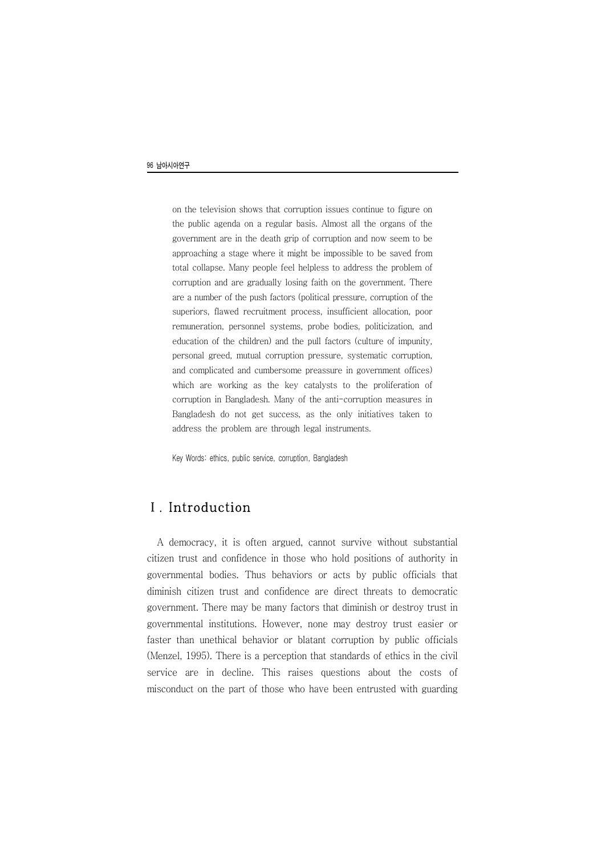on the television shows that corruption issues continue to figure on the public agenda on a regular basis. Almost all the organs of the government are in the death grip of corruption and now seem to be approaching a stage where it might be impossible to be saved from total collapse. Many people feel helpless to address the problem of corruption and are gradually losing faith on the government. There are a number of the push factors (political pressure, corruption of the superiors, flawed recruitment process, insufficient allocation, poor remuneration, personnel systems, probe bodies, politicization, and education of the children) and the pull factors (culture of impunity, personal greed, mutual corruption pressure, systematic corruption, and complicated and cumbersome preassure in government offices) which are working as the key catalysts to the proliferation of corruption in Bangladesh. Many of the anti-corruption measures in Bangladesh do not get success, as the only initiatives taken to address the problem are through legal instruments.

Key Words: ethics, public service, corruption, Bangladesh

## Ⅰ. Introduction

A democracy, it is often argued, cannot survive without substantial citizen trust and confidence in those who hold positions of authority in governmental bodies. Thus behaviors or acts by public officials that diminish citizen trust and confidence are direct threats to democratic government. There may be many factors that diminish or destroy trust in governmental institutions. However, none may destroy trust easier or faster than unethical behavior or blatant corruption by public officials (Menzel, 1995). There is a perception that standards of ethics in the civil service are in decline. This raises questions about the costs of misconduct on the part of those who have been entrusted with guarding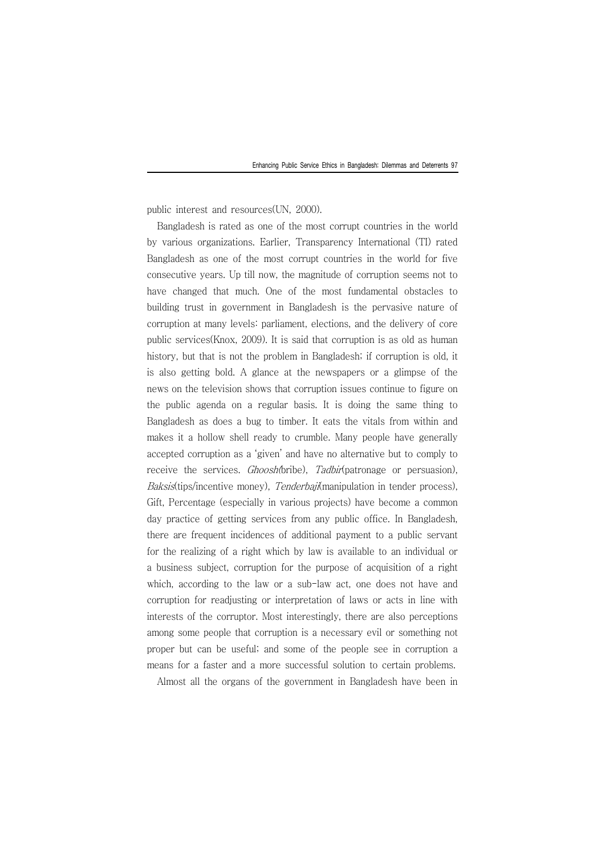public interest and resources(UN, 2000).

Bangladesh is rated as one of the most corrupt countries in the world by various organizations. Earlier, Transparency International (TI) rated Bangladesh as one of the most corrupt countries in the world for five consecutive years. Up till now, the magnitude of corruption seems not to have changed that much. One of the most fundamental obstacles to building trust in government in Bangladesh is the pervasive nature of corruption at many levels: parliament, elections, and the delivery of core public services(Knox, 2009). It is said that corruption is as old as human history, but that is not the problem in Bangladesh; if corruption is old, it is also getting bold. A glance at the newspapers or a glimpse of the news on the television shows that corruption issues continue to figure on the public agenda on a regular basis. It is doing the same thing to Bangladesh as does a bug to timber. It eats the vitals from within and makes it a hollow shell ready to crumble. Many people have generally accepted corruption as a 'given' and have no alternative but to comply to receive the services. *Ghoosh(*bribe), Tadbir(patronage or persuasion), Baksis(tips/incentive money), Tenderbaji(manipulation in tender process), Gift, Percentage (especially in various projects) have become a common day practice of getting services from any public office. In Bangladesh, there are frequent incidences of additional payment to a public servant for the realizing of a right which by law is available to an individual or a business subject, corruption for the purpose of acquisition of a right which, according to the law or a sub-law act, one does not have and corruption for readjusting or interpretation of laws or acts in line with interests of the corruptor. Most interestingly, there are also perceptions among some people that corruption is a necessary evil or something not proper but can be useful; and some of the people see in corruption a means for a faster and a more successful solution to certain problems.

Almost all the organs of the government in Bangladesh have been in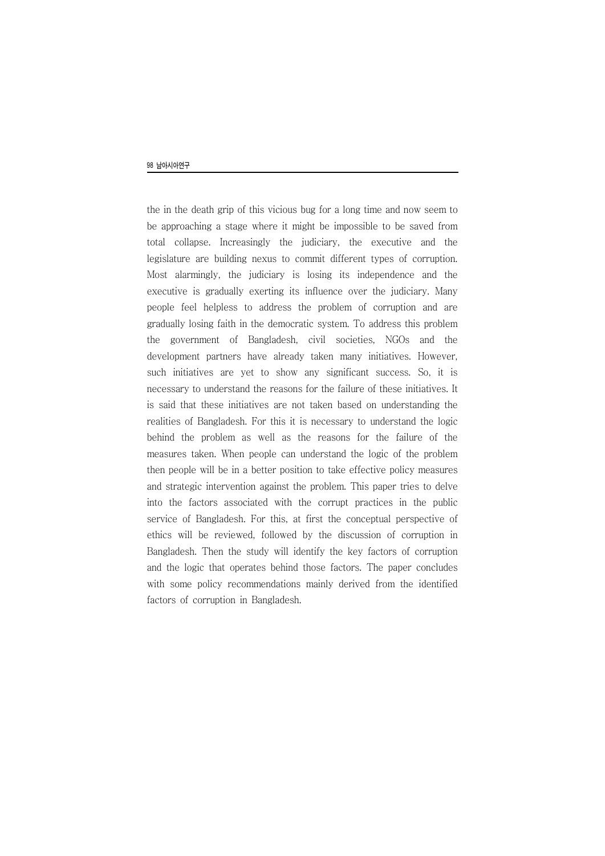the in the death grip of this vicious bug for a long time and now seem to be approaching a stage where it might be impossible to be saved from total collapse. Increasingly the judiciary, the executive and the legislature are building nexus to commit different types of corruption. Most alarmingly, the judiciary is losing its independence and the executive is gradually exerting its influence over the judiciary. Many people feel helpless to address the problem of corruption and are gradually losing faith in the democratic system. To address this problem the government of Bangladesh, civil societies, NGOs and the development partners have already taken many initiatives. However, such initiatives are yet to show any significant success. So, it is necessary to understand the reasons for the failure of these initiatives. It is said that these initiatives are not taken based on understanding the realities of Bangladesh. For this it is necessary to understand the logic behind the problem as well as the reasons for the failure of the measures taken. When people can understand the logic of the problem then people will be in a better position to take effective policy measures and strategic intervention against the problem. This paper tries to delve into the factors associated with the corrupt practices in the public service of Bangladesh. For this, at first the conceptual perspective of ethics will be reviewed, followed by the discussion of corruption in Bangladesh. Then the study will identify the key factors of corruption and the logic that operates behind those factors. The paper concludes with some policy recommendations mainly derived from the identified factors of corruption in Bangladesh.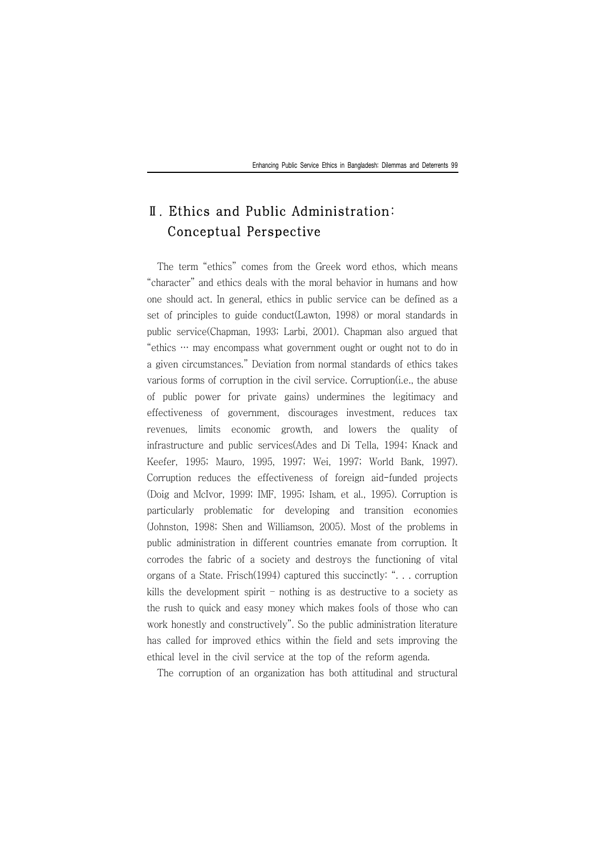## Ⅱ. Ethics and Public Administration: Conceptual Perspective

The term "ethics" comes from the Greek word ethos, which means "character" and ethics deals with the moral behavior in humans and how one should act. In general, ethics in public service can be defined as a set of principles to guide conduct(Lawton, 1998) or moral standards in public service(Chapman, 1993; Larbi, 2001). Chapman also argued that "ethics … may encompass what government ought or ought not to do in a given circumstances." Deviation from normal standards of ethics takes various forms of corruption in the civil service. Corruption(i.e., the abuse of public power for private gains) undermines the legitimacy and effectiveness of government, discourages investment, reduces tax revenues, limits economic growth, and lowers the quality of infrastructure and public services(Ades and Di Tella, 1994; Knack and Keefer, 1995; Mauro, 1995, 1997; Wei, 1997; World Bank, 1997). Corruption reduces the effectiveness of foreign aid-funded projects (Doig and McIvor, 1999; IMF, 1995; Isham, et al., 1995). Corruption is particularly problematic for developing and transition economies (Johnston, 1998; Shen and Williamson, 2005). Most of the problems in public administration in different countries emanate from corruption. It corrodes the fabric of a society and destroys the functioning of vital organs of a State. Frisch(1994) captured this succinctly: ". . . corruption kills the development spirit – nothing is as destructive to a society as the rush to quick and easy money which makes fools of those who can work honestly and constructively". So the public administration literature has called for improved ethics within the field and sets improving the ethical level in the civil service at the top of the reform agenda.

The corruption of an organization has both attitudinal and structural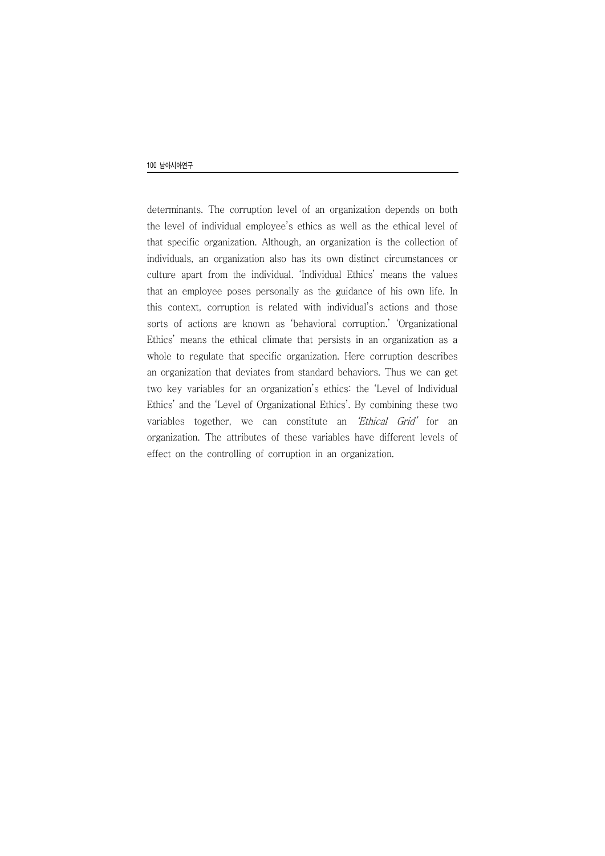determinants. The corruption level of an organization depends on both the level of individual employee's ethics as well as the ethical level of that specific organization. Although, an organization is the collection of individuals, an organization also has its own distinct circumstances or culture apart from the individual. 'Individual Ethics' means the values that an employee poses personally as the guidance of his own life. In this context, corruption is related with individual's actions and those sorts of actions are known as 'behavioral corruption.' 'Organizational Ethics' means the ethical climate that persists in an organization as a whole to regulate that specific organization. Here corruption describes an organization that deviates from standard behaviors. Thus we can get two key variables for an organization's ethics: the 'Level of Individual Ethics' and the 'Level of Organizational Ethics'. By combining these two variables together, we can constitute an 'Ethical Grid' for an organization. The attributes of these variables have different levels of effect on the controlling of corruption in an organization.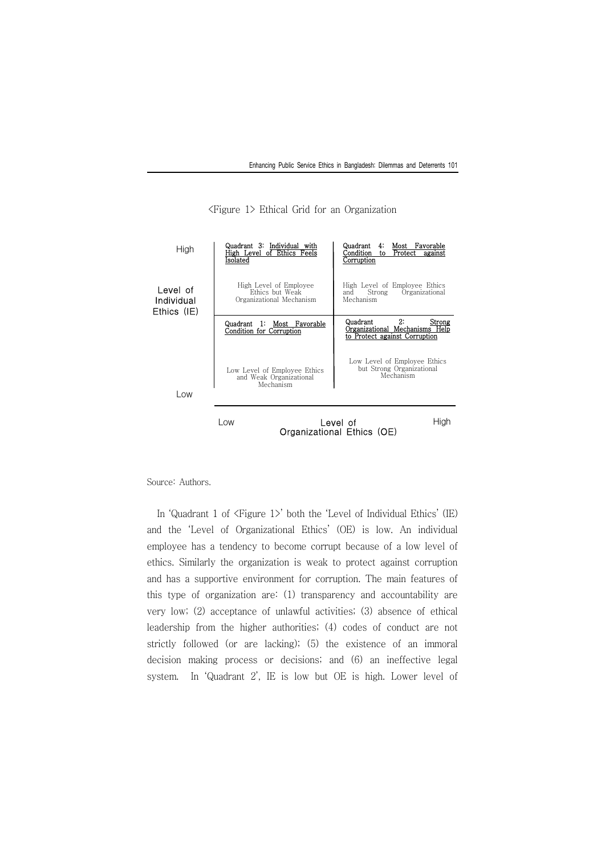

<Figure 1> Ethical Grid for an Organization

Source: Authors.

In 'Quadrant 1 of  $\langle$ Figure 1 $\rangle$ ' both the 'Level of Individual Ethics' (IE) and the 'Level of Organizational Ethics' (OE) is low. An individual employee has a tendency to become corrupt because of a low level of ethics. Similarly the organization is weak to protect against corruption and has a supportive environment for corruption. The main features of this type of organization are: (1) transparency and accountability are very low; (2) acceptance of unlawful activities; (3) absence of ethical leadership from the higher authorities; (4) codes of conduct are not strictly followed (or are lacking); (5) the existence of an immoral decision making process or decisions; and (6) an ineffective legal system. In 'Quadrant 2', IE is low but OE is high. Lower level of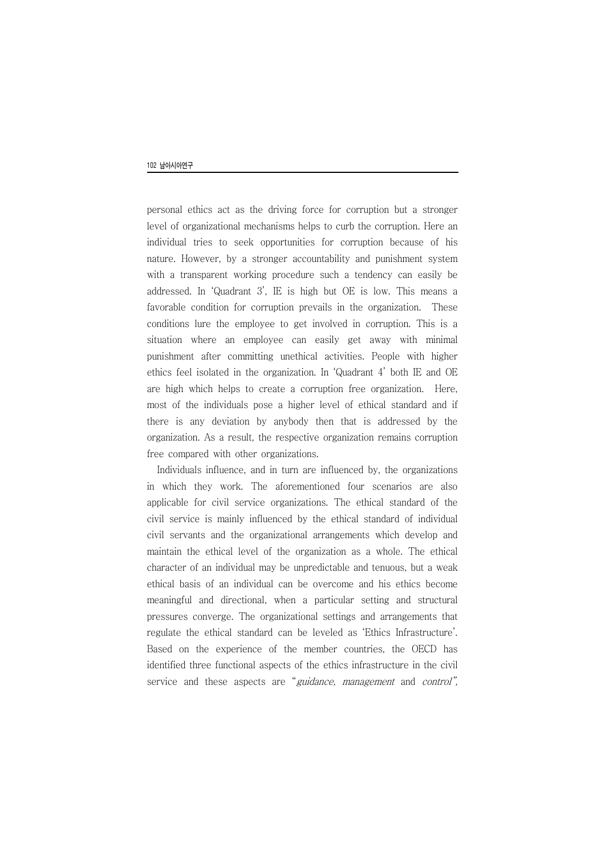personal ethics act as the driving force for corruption but a stronger level of organizational mechanisms helps to curb the corruption. Here an individual tries to seek opportunities for corruption because of his nature. However, by a stronger accountability and punishment system with a transparent working procedure such a tendency can easily be addressed. In 'Quadrant 3', IE is high but OE is low. This means a favorable condition for corruption prevails in the organization. These conditions lure the employee to get involved in corruption. This is a situation where an employee can easily get away with minimal punishment after committing unethical activities. People with higher ethics feel isolated in the organization. In 'Quadrant 4' both IE and OE are high which helps to create a corruption free organization. Here, most of the individuals pose a higher level of ethical standard and if there is any deviation by anybody then that is addressed by the organization. As a result, the respective organization remains corruption free compared with other organizations.

Individuals influence, and in turn are influenced by, the organizations in which they work. The aforementioned four scenarios are also applicable for civil service organizations. The ethical standard of the civil service is mainly influenced by the ethical standard of individual civil servants and the organizational arrangements which develop and maintain the ethical level of the organization as a whole. The ethical character of an individual may be unpredictable and tenuous, but a weak ethical basis of an individual can be overcome and his ethics become meaningful and directional, when a particular setting and structural pressures converge. The organizational settings and arrangements that regulate the ethical standard can be leveled as 'Ethics Infrastructure'. Based on the experience of the member countries, the OECD has identified three functional aspects of the ethics infrastructure in the civil service and these aspects are "guidance, management and control",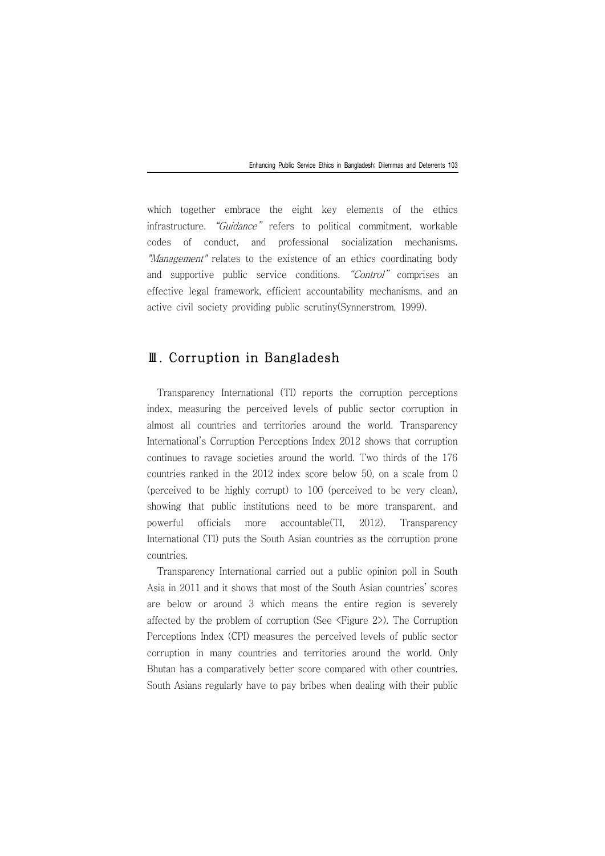which together embrace the eight key elements of the ethics infrastructure. "Guidance" refers to political commitment, workable codes of conduct, and professional socialization mechanisms. "Management" relates to the existence of an ethics coordinating body and supportive public service conditions. "Control" comprises an effective legal framework, efficient accountability mechanisms, and an active civil society providing public scrutiny(Synnerstrom, 1999).

## Ⅲ. Corruption in Bangladesh

Transparency International (TI) reports the corruption perceptions index, measuring the perceived levels of public sector corruption in almost all countries and territories around the world. Transparency International's Corruption Perceptions Index 2012 shows that corruption continues to ravage societies around the world. Two thirds of the 176 countries ranked in the 2012 index score below 50, on a scale from 0 (perceived to be highly corrupt) to 100 (perceived to be very clean), showing that public institutions need to be more transparent, and powerful officials more accountable(TI, 2012). Transparency International (TI) puts the South Asian countries as the corruption prone countries.

Transparency International carried out a public opinion poll in South Asia in 2011 and it shows that most of the South Asian countries' scores are below or around 3 which means the entire region is severely affected by the problem of corruption (See <Figure 2>). The Corruption Perceptions Index (CPI) measures the perceived levels of public sector corruption in many countries and territories around the world. Only Bhutan has a comparatively better score compared with other countries. South Asians regularly have to pay bribes when dealing with their public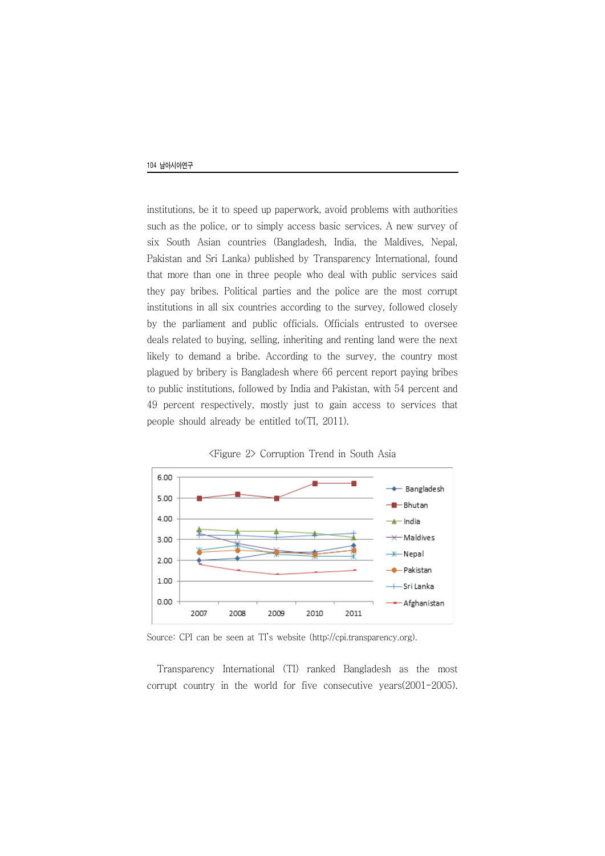institutions, be it to speed up paperwork, avoid problems with authorities such as the police, or to simply access basic services. A new survey of six South Asian countries (Bangladesh, India, the Maldives, Nepal, Pakistan and Sri Lanka) published by Transparency International, found that more than one in three people who deal with public services said they pay bribes. Political parties and the police are the most corrupt institutions in all six countries according to the survey, followed closely by the parliament and public officials. Officials entrusted to oversee deals related to buying, selling, inheriting and renting land were the next likely to demand a bribe. According to the survey, the country most plagued by bribery is Bangladesh where 66 percent report paying bribes to public institutions, followed by India and Pakistan, with 54 percent and 49 percent respectively, mostly just to gain access to services that people should already be entitled to(TI, 2011).



<Figure 2> Corruption Trend in South Asia

Source: CPI can be seen at TI's website (http://cpi.transparency.org).

Transparency International (TI) ranked Bangladesh as the most corrupt country in the world for five consecutive years(2001-2005).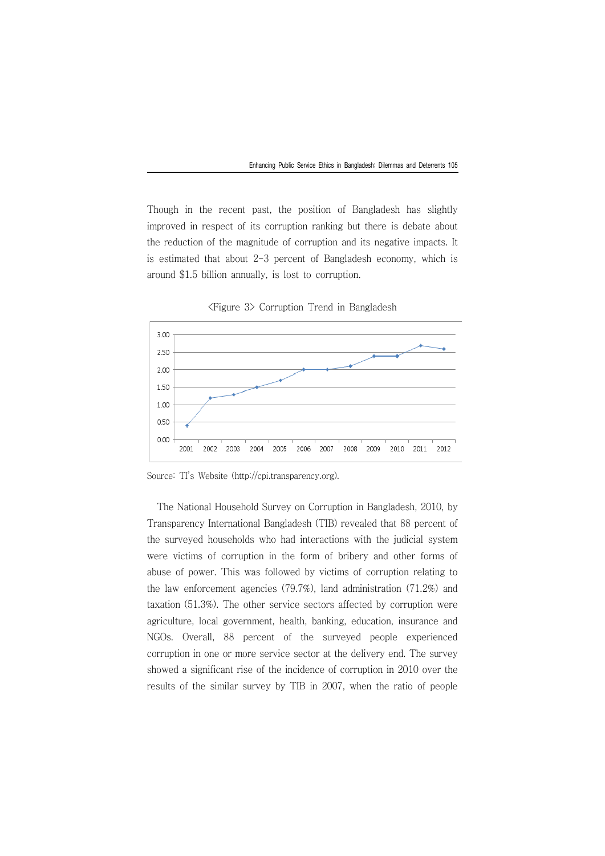Though in the recent past, the position of Bangladesh has slightly improved in respect of its corruption ranking but there is debate about the reduction of the magnitude of corruption and its negative impacts. It is estimated that about 2-3 percent of Bangladesh economy, which is around \$1.5 billion annually, is lost to corruption.



<Figure 3> Corruption Trend in Bangladesh

Source: TI's Website (http://cpi.transparency.org).

The National Household Survey on Corruption in Bangladesh, 2010, by Transparency International Bangladesh (TIB) revealed that 88 percent of the surveyed households who had interactions with the judicial system were victims of corruption in the form of bribery and other forms of abuse of power. This was followed by victims of corruption relating to the law enforcement agencies (79.7%), land administration (71.2%) and taxation (51.3%). The other service sectors affected by corruption were agriculture, local government, health, banking, education, insurance and NGOs. Overall, 88 percent of the surveyed people experienced corruption in one or more service sector at the delivery end. The survey showed a significant rise of the incidence of corruption in 2010 over the results of the similar survey by TIB in 2007, when the ratio of people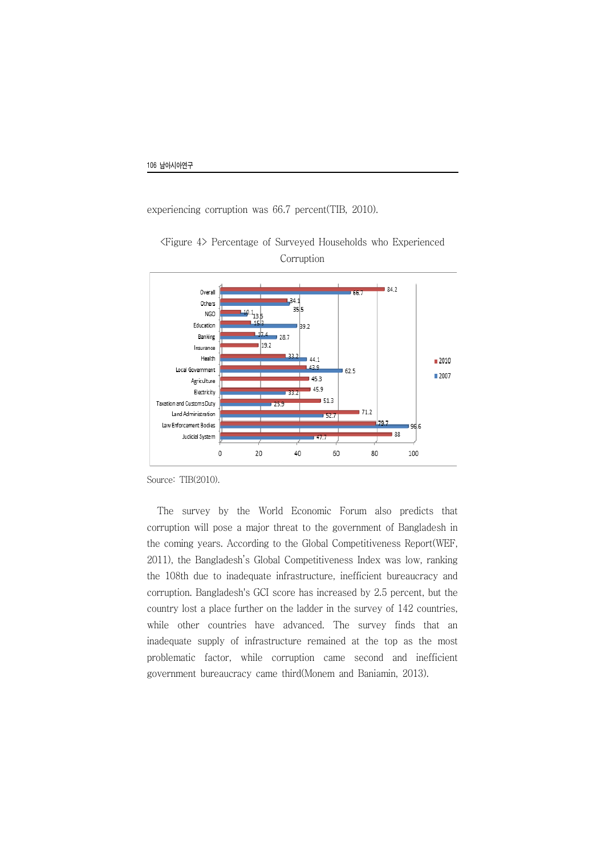experiencing corruption was 66.7 percent(TIB, 2010).



<Figure 4> Percentage of Surveyed Households who Experienced Corruption

Source: TIB(2010).

The survey by the World Economic Forum also predicts that corruption will pose a major threat to the government of Bangladesh in the coming years. According to the Global Competitiveness Report(WEF, 2011), the Bangladesh's Global Competitiveness Index was low, ranking the 108th due to inadequate infrastructure, inefficient bureaucracy and corruption. Bangladesh's GCI score has increased by 2.5 percent, but the country lost a place further on the ladder in the survey of 142 countries, while other countries have advanced. The survey finds that an inadequate supply of infrastructure remained at the top as the most problematic factor, while corruption came second and inefficient government bureaucracy came third(Monem and Baniamin, 2013).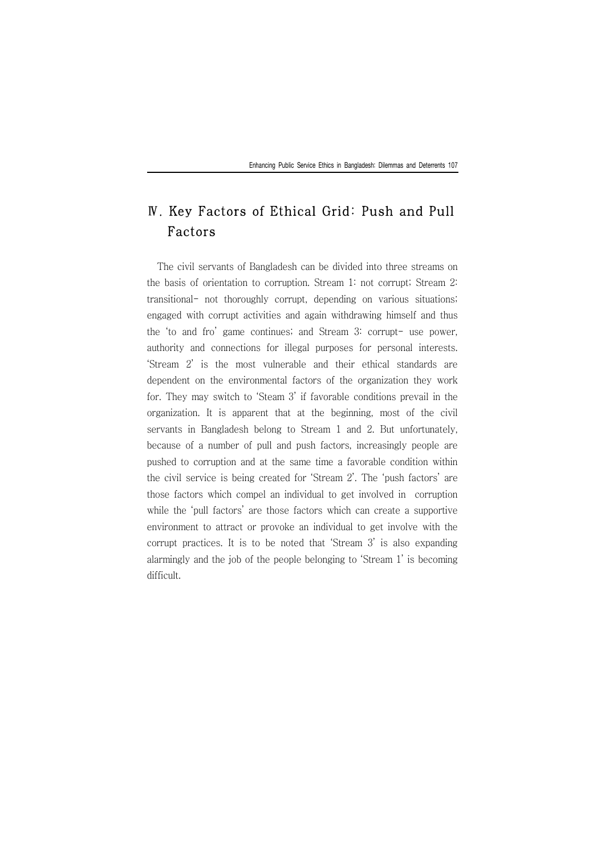## Ⅳ. Key Factors of Ethical Grid: Push and Pull Factors

The civil servants of Bangladesh can be divided into three streams on the basis of orientation to corruption. Stream 1: not corrupt; Stream 2: transitional- not thoroughly corrupt, depending on various situations; engaged with corrupt activities and again withdrawing himself and thus the 'to and fro' game continues; and Stream 3: corrupt- use power, authority and connections for illegal purposes for personal interests. 'Stream 2' is the most vulnerable and their ethical standards are dependent on the environmental factors of the organization they work for. They may switch to 'Steam 3' if favorable conditions prevail in the organization. It is apparent that at the beginning, most of the civil servants in Bangladesh belong to Stream 1 and 2. But unfortunately, because of a number of pull and push factors, increasingly people are pushed to corruption and at the same time a favorable condition within the civil service is being created for 'Stream 2'. The 'push factors' are those factors which compel an individual to get involved in corruption while the 'pull factors' are those factors which can create a supportive environment to attract or provoke an individual to get involve with the corrupt practices. It is to be noted that 'Stream 3' is also expanding alarmingly and the job of the people belonging to 'Stream 1' is becoming difficult.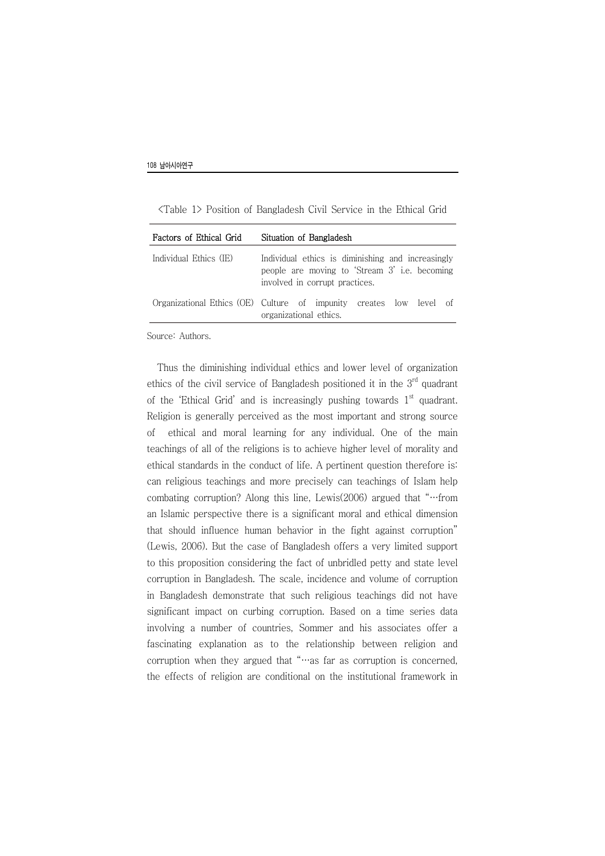| Factors of Ethical Grid | Situation of Bangladesh                                                                                                              |
|-------------------------|--------------------------------------------------------------------------------------------------------------------------------------|
| Individual Ethics (IE)  | Individual ethics is diminishing and increasingly<br>people are moving to 'Stream 3' i.e. becoming<br>involved in corrupt practices. |
|                         | Organizational Ethics (OE) Culture of impunity creates low level of<br>organizational ethics.                                        |

<Table 1> Position of Bangladesh Civil Service in the Ethical Grid

Source: Authors.

Thus the diminishing individual ethics and lower level of organization ethics of the civil service of Bangladesh positioned it in the 3rd quadrant of the 'Ethical Grid' and is increasingly pushing towards  $1<sup>st</sup>$  quadrant. Religion is generally perceived as the most important and strong source of ethical and moral learning for any individual. One of the main teachings of all of the religions is to achieve higher level of morality and ethical standards in the conduct of life. A pertinent question therefore is: can religious teachings and more precisely can teachings of Islam help combating corruption? Along this line, Lewis(2006) argued that "…from an Islamic perspective there is a significant moral and ethical dimension that should influence human behavior in the fight against corruption" (Lewis, 2006). But the case of Bangladesh offers a very limited support to this proposition considering the fact of unbridled petty and state level corruption in Bangladesh. The scale, incidence and volume of corruption in Bangladesh demonstrate that such religious teachings did not have significant impact on curbing corruption. Based on a time series data involving a number of countries, Sommer and his associates offer a fascinating explanation as to the relationship between religion and corruption when they argued that "…as far as corruption is concerned, the effects of religion are conditional on the institutional framework in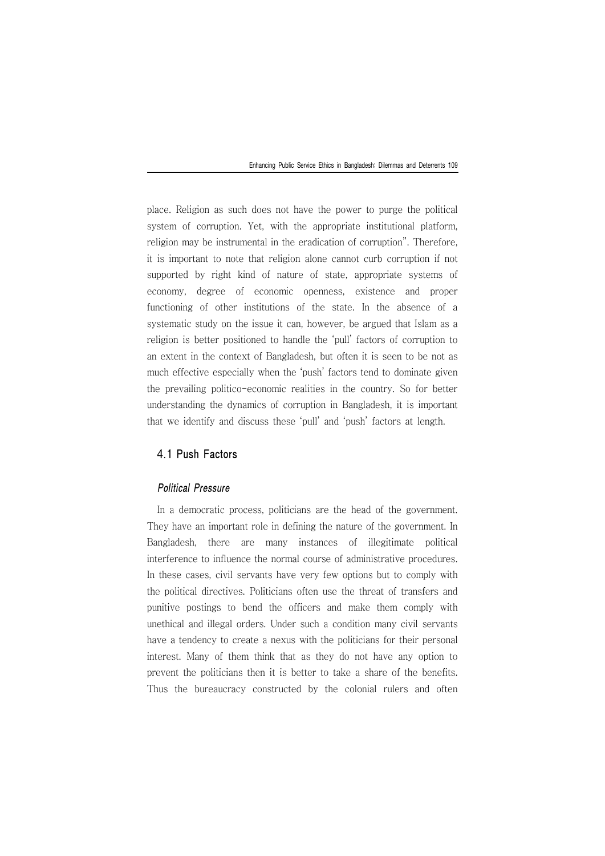place. Religion as such does not have the power to purge the political system of corruption. Yet, with the appropriate institutional platform, religion may be instrumental in the eradication of corruption". Therefore, it is important to note that religion alone cannot curb corruption if not supported by right kind of nature of state, appropriate systems of economy, degree of economic openness, existence and proper functioning of other institutions of the state. In the absence of a systematic study on the issue it can, however, be argued that Islam as a religion is better positioned to handle the 'pull' factors of corruption to an extent in the context of Bangladesh, but often it is seen to be not as much effective especially when the 'push' factors tend to dominate given the prevailing politico-economic realities in the country. So for better understanding the dynamics of corruption in Bangladesh, it is important that we identify and discuss these 'pull' and 'push' factors at length.

## 4.1 Push Factors

### Political Pressure

In a democratic process, politicians are the head of the government. They have an important role in defining the nature of the government. In Bangladesh, there are many instances of illegitimate political interference to influence the normal course of administrative procedures. In these cases, civil servants have very few options but to comply with the political directives. Politicians often use the threat of transfers and punitive postings to bend the officers and make them comply with unethical and illegal orders. Under such a condition many civil servants have a tendency to create a nexus with the politicians for their personal interest. Many of them think that as they do not have any option to prevent the politicians then it is better to take a share of the benefits. Thus the bureaucracy constructed by the colonial rulers and often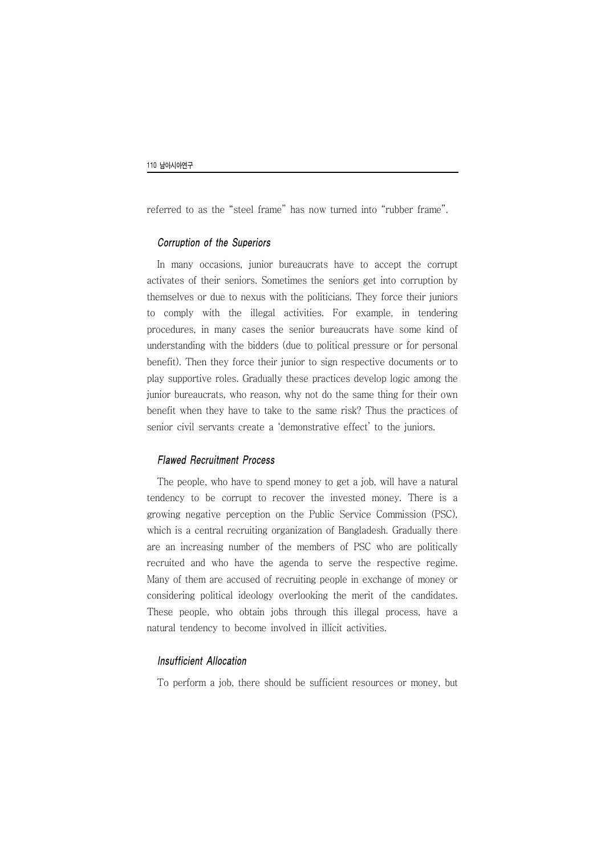referred to as the "steel frame" has now turned into "rubber frame".

#### Corruption of the Superiors

In many occasions, junior bureaucrats have to accept the corrupt activates of their seniors. Sometimes the seniors get into corruption by themselves or due to nexus with the politicians. They force their juniors to comply with the illegal activities. For example, in tendering procedures, in many cases the senior bureaucrats have some kind of understanding with the bidders (due to political pressure or for personal benefit). Then they force their junior to sign respective documents or to play supportive roles. Gradually these practices develop logic among the junior bureaucrats, who reason, why not do the same thing for their own benefit when they have to take to the same risk? Thus the practices of senior civil servants create a 'demonstrative effect' to the juniors.

#### Flawed Recruitment Process

The people, who have to spend money to get a job, will have a natural tendency to be corrupt to recover the invested money. There is a growing negative perception on the Public Service Commission (PSC), which is a central recruiting organization of Bangladesh. Gradually there are an increasing number of the members of PSC who are politically recruited and who have the agenda to serve the respective regime. Many of them are accused of recruiting people in exchange of money or considering political ideology overlooking the merit of the candidates. These people, who obtain jobs through this illegal process, have a natural tendency to become involved in illicit activities.

#### Insufficient Allocation

To perform a job, there should be sufficient resources or money, but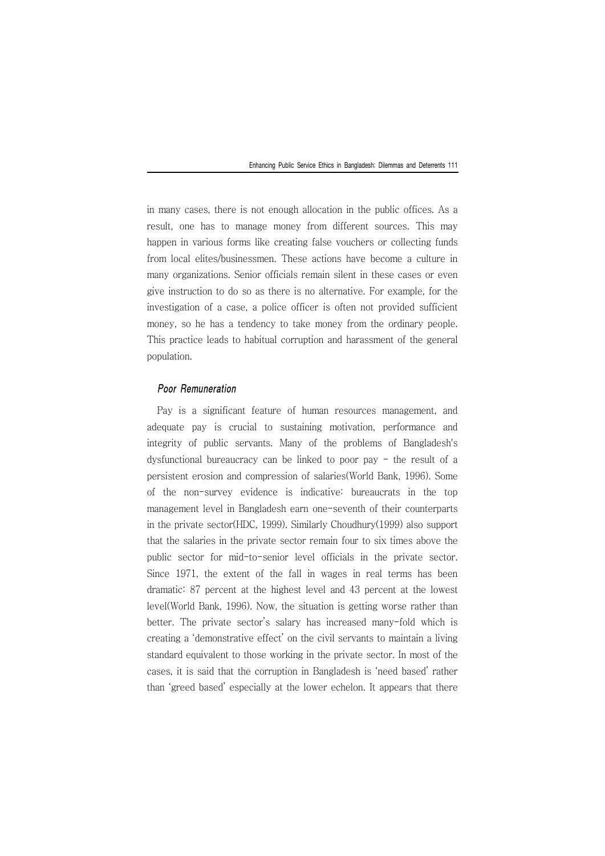in many cases, there is not enough allocation in the public offices. As a result, one has to manage money from different sources. This may happen in various forms like creating false vouchers or collecting funds from local elites/businessmen. These actions have become a culture in many organizations. Senior officials remain silent in these cases or even give instruction to do so as there is no alternative. For example, for the investigation of a case, a police officer is often not provided sufficient money, so he has a tendency to take money from the ordinary people. This practice leads to habitual corruption and harassment of the general population.

#### Poor Remuneration

Pay is a significant feature of human resources management, and adequate pay is crucial to sustaining motivation, performance and integrity of public servants. Many of the problems of Bangladesh's dysfunctional bureaucracy can be linked to poor pay  $-$  the result of a persistent erosion and compression of salaries(World Bank, 1996). Some of the non-survey evidence is indicative: bureaucrats in the top management level in Bangladesh earn one-seventh of their counterparts in the private sector(HDC, 1999). Similarly Choudhury(1999) also support that the salaries in the private sector remain four to six times above the public sector for mid-to-senior level officials in the private sector. Since 1971, the extent of the fall in wages in real terms has been dramatic: 87 percent at the highest level and 43 percent at the lowest level(World Bank, 1996). Now, the situation is getting worse rather than better. The private sector's salary has increased many-fold which is creating a 'demonstrative effect' on the civil servants to maintain a living standard equivalent to those working in the private sector. In most of the cases, it is said that the corruption in Bangladesh is 'need based' rather than 'greed based' especially at the lower echelon. It appears that there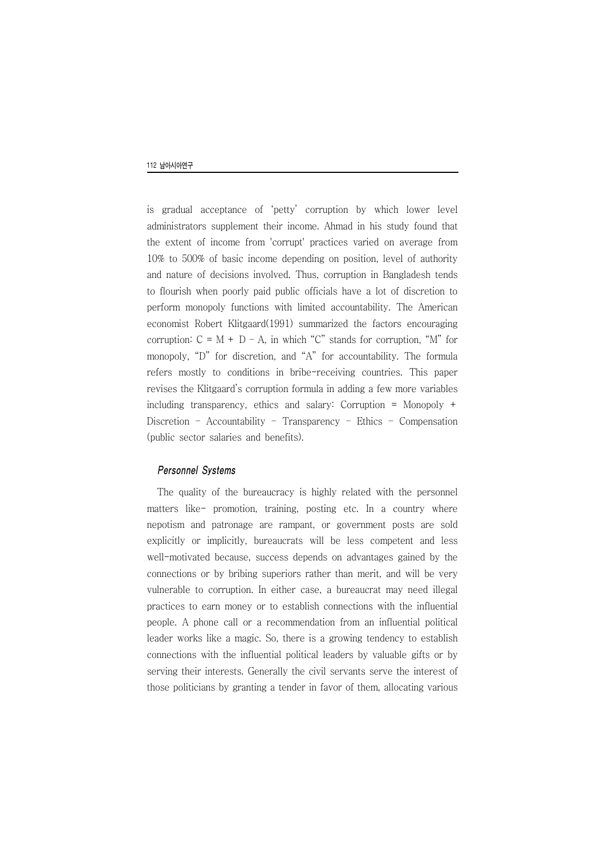is gradual acceptance of 'petty' corruption by which lower level administrators supplement their income. Ahmad in his study found that the extent of income from 'corrupt' practices varied on average from 10% to 500% of basic income depending on position, level of authority and nature of decisions involved. Thus, corruption in Bangladesh tends to flourish when poorly paid public officials have a lot of discretion to perform monopoly functions with limited accountability. The American economist Robert Klitgaard(1991) summarized the factors encouraging corruption:  $C = M + D - A$ , in which "C" stands for corruption, "M" for monopoly, "D" for discretion, and "A" for accountability. The formula refers mostly to conditions in bribe-receiving countries. This paper revises the Klitgaard's corruption formula in adding a few more variables including transparency, ethics and salary: Corruption = Monopoly + Discretion – Accountability – Transparency – Ethics – Compensation (public sector salaries and benefits).

#### Personnel Systems

The quality of the bureaucracy is highly related with the personnel matters like- promotion, training, posting etc. In a country where nepotism and patronage are rampant, or government posts are sold explicitly or implicitly, bureaucrats will be less competent and less well-motivated because, success depends on advantages gained by the connections or by bribing superiors rather than merit, and will be very vulnerable to corruption. In either case, a bureaucrat may need illegal practices to earn money or to establish connections with the influential people. A phone call or a recommendation from an influential political leader works like a magic. So, there is a growing tendency to establish connections with the influential political leaders by valuable gifts or by serving their interests. Generally the civil servants serve the interest of those politicians by granting a tender in favor of them, allocating various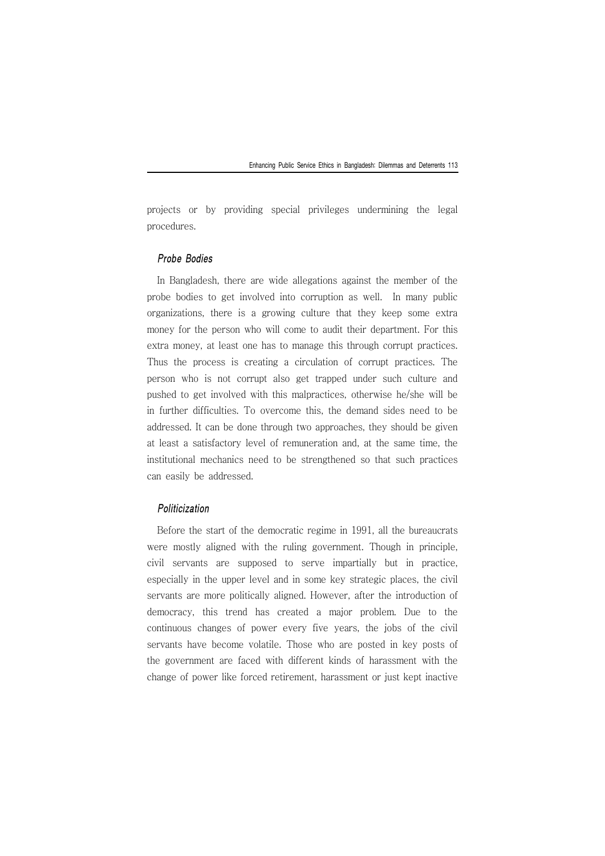projects or by providing special privileges undermining the legal procedures.

#### Probe Bodies

In Bangladesh, there are wide allegations against the member of the probe bodies to get involved into corruption as well. In many public organizations, there is a growing culture that they keep some extra money for the person who will come to audit their department. For this extra money, at least one has to manage this through corrupt practices. Thus the process is creating a circulation of corrupt practices. The person who is not corrupt also get trapped under such culture and pushed to get involved with this malpractices, otherwise he/she will be in further difficulties. To overcome this, the demand sides need to be addressed. It can be done through two approaches, they should be given at least a satisfactory level of remuneration and, at the same time, the institutional mechanics need to be strengthened so that such practices can easily be addressed.

#### Politicization

Before the start of the democratic regime in 1991, all the bureaucrats were mostly aligned with the ruling government. Though in principle, civil servants are supposed to serve impartially but in practice, especially in the upper level and in some key strategic places, the civil servants are more politically aligned. However, after the introduction of democracy, this trend has created a major problem. Due to the continuous changes of power every five years, the jobs of the civil servants have become volatile. Those who are posted in key posts of the government are faced with different kinds of harassment with the change of power like forced retirement, harassment or just kept inactive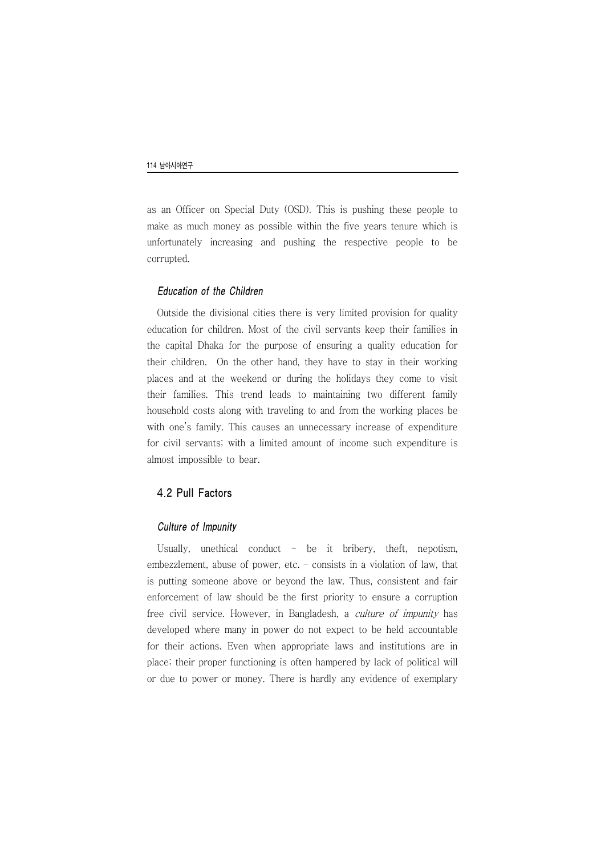as an Officer on Special Duty (OSD). This is pushing these people to make as much money as possible within the five years tenure which is unfortunately increasing and pushing the respective people to be corrupted.

#### Education of the Children

Outside the divisional cities there is very limited provision for quality education for children. Most of the civil servants keep their families in the capital Dhaka for the purpose of ensuring a quality education for their children. On the other hand, they have to stay in their working places and at the weekend or during the holidays they come to visit their families. This trend leads to maintaining two different family household costs along with traveling to and from the working places be with one's family. This causes an unnecessary increase of expenditure for civil servants; with a limited amount of income such expenditure is almost impossible to bear.

#### 4.2 Pull Factors

#### Culture of Impunity

Usually, unethical conduct  $-$  be it bribery, theft, nepotism, embezzlement, abuse of power, etc. – consists in a violation of law, that is putting someone above or beyond the law. Thus, consistent and fair enforcement of law should be the first priority to ensure a corruption free civil service. However, in Bangladesh, a culture of impunity has developed where many in power do not expect to be held accountable for their actions. Even when appropriate laws and institutions are in place; their proper functioning is often hampered by lack of political will or due to power or money. There is hardly any evidence of exemplary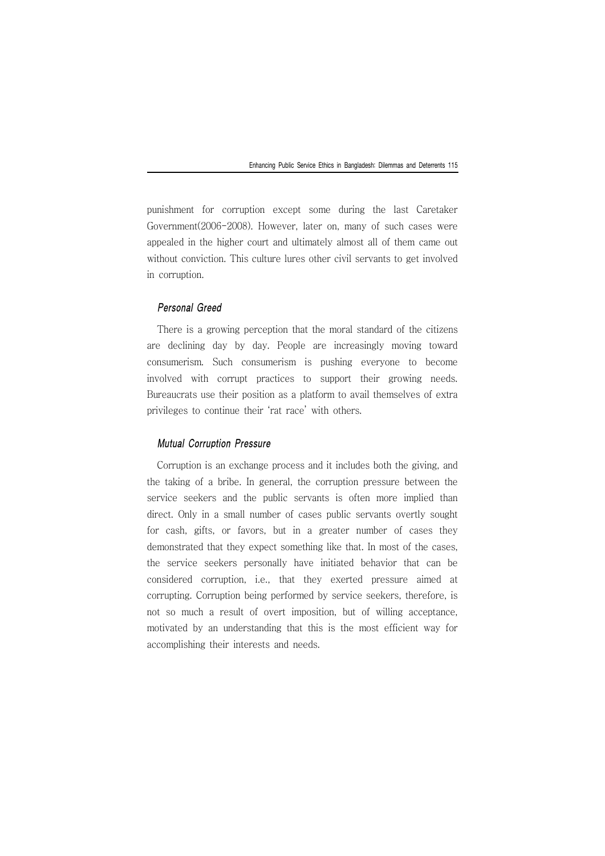punishment for corruption except some during the last Caretaker Government(2006-2008). However, later on, many of such cases were appealed in the higher court and ultimately almost all of them came out without conviction. This culture lures other civil servants to get involved in corruption.

### Personal Greed

There is a growing perception that the moral standard of the citizens are declining day by day. People are increasingly moving toward consumerism. Such consumerism is pushing everyone to become involved with corrupt practices to support their growing needs. Bureaucrats use their position as a platform to avail themselves of extra privileges to continue their 'rat race' with others.

#### Mutual Corruption Pressure

Corruption is an exchange process and it includes both the giving, and the taking of a bribe. In general, the corruption pressure between the service seekers and the public servants is often more implied than direct. Only in a small number of cases public servants overtly sought for cash, gifts, or favors, but in a greater number of cases they demonstrated that they expect something like that. In most of the cases, the service seekers personally have initiated behavior that can be considered corruption, i.e., that they exerted pressure aimed at corrupting. Corruption being performed by service seekers, therefore, is not so much a result of overt imposition, but of willing acceptance, motivated by an understanding that this is the most efficient way for accomplishing their interests and needs.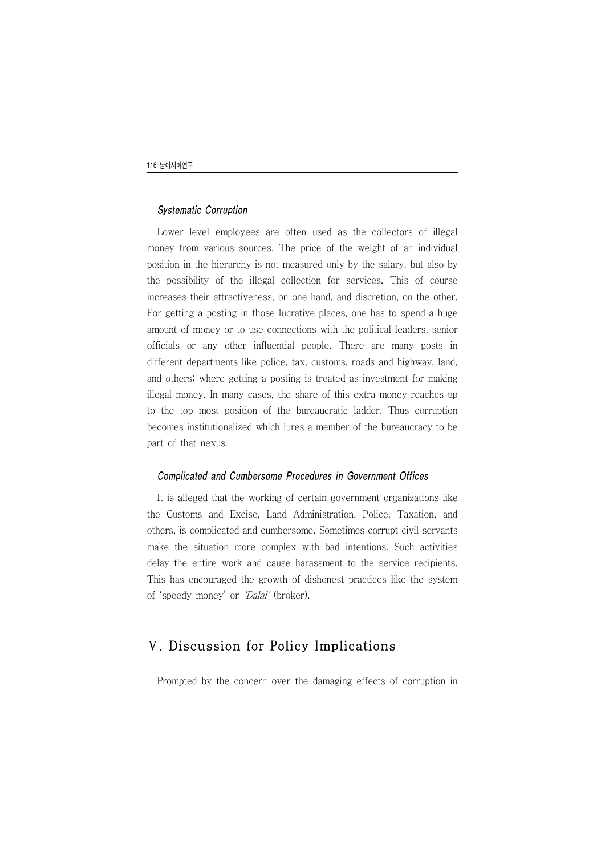#### Systematic Corruption

Lower level employees are often used as the collectors of illegal money from various sources. The price of the weight of an individual position in the hierarchy is not measured only by the salary, but also by the possibility of the illegal collection for services. This of course increases their attractiveness, on one hand, and discretion, on the other. For getting a posting in those lucrative places, one has to spend a huge amount of money or to use connections with the political leaders, senior officials or any other influential people. There are many posts in different departments like police, tax, customs, roads and highway, land, and others; where getting a posting is treated as investment for making illegal money. In many cases, the share of this extra money reaches up to the top most position of the bureaucratic ladder. Thus corruption becomes institutionalized which lures a member of the bureaucracy to be part of that nexus.

#### Complicated and Cumbersome Procedures in Government Offices

It is alleged that the working of certain government organizations like the Customs and Excise, Land Administration, Police, Taxation, and others, is complicated and cumbersome. Sometimes corrupt civil servants make the situation more complex with bad intentions. Such activities delay the entire work and cause harassment to the service recipients. This has encouraged the growth of dishonest practices like the system of 'speedy money' or 'Dalal' (broker).

## Ⅴ. Discussion for Policy Implications

Prompted by the concern over the damaging effects of corruption in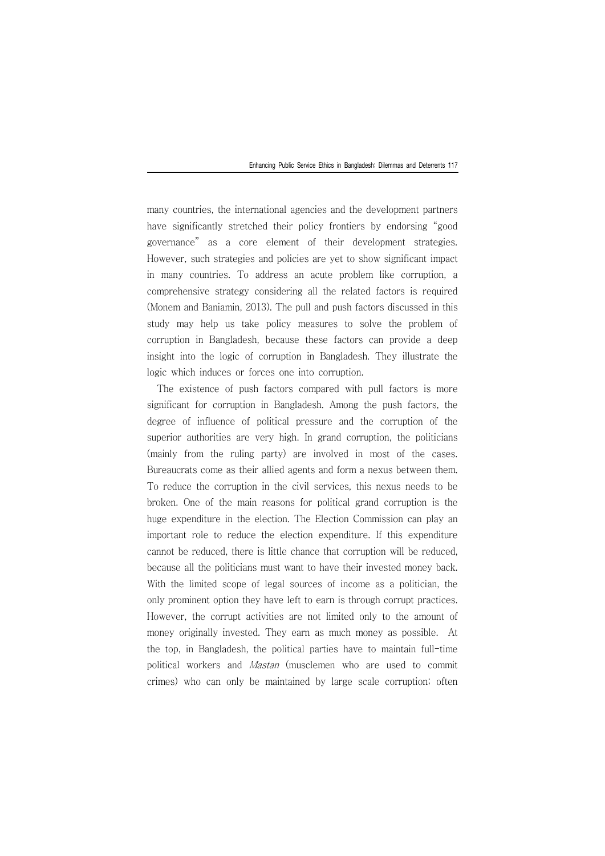many countries, the international agencies and the development partners have significantly stretched their policy frontiers by endorsing "good governance" as a core element of their development strategies. However, such strategies and policies are yet to show significant impact in many countries. To address an acute problem like corruption, a comprehensive strategy considering all the related factors is required (Monem and Baniamin, 2013). The pull and push factors discussed in this study may help us take policy measures to solve the problem of corruption in Bangladesh, because these factors can provide a deep insight into the logic of corruption in Bangladesh. They illustrate the logic which induces or forces one into corruption.

The existence of push factors compared with pull factors is more significant for corruption in Bangladesh. Among the push factors, the degree of influence of political pressure and the corruption of the superior authorities are very high. In grand corruption, the politicians (mainly from the ruling party) are involved in most of the cases. Bureaucrats come as their allied agents and form a nexus between them. To reduce the corruption in the civil services, this nexus needs to be broken. One of the main reasons for political grand corruption is the huge expenditure in the election. The Election Commission can play an important role to reduce the election expenditure. If this expenditure cannot be reduced, there is little chance that corruption will be reduced, because all the politicians must want to have their invested money back. With the limited scope of legal sources of income as a politician, the only prominent option they have left to earn is through corrupt practices. However, the corrupt activities are not limited only to the amount of money originally invested. They earn as much money as possible. At the top, in Bangladesh, the political parties have to maintain full-time political workers and Mastan (musclemen who are used to commit crimes) who can only be maintained by large scale corruption; often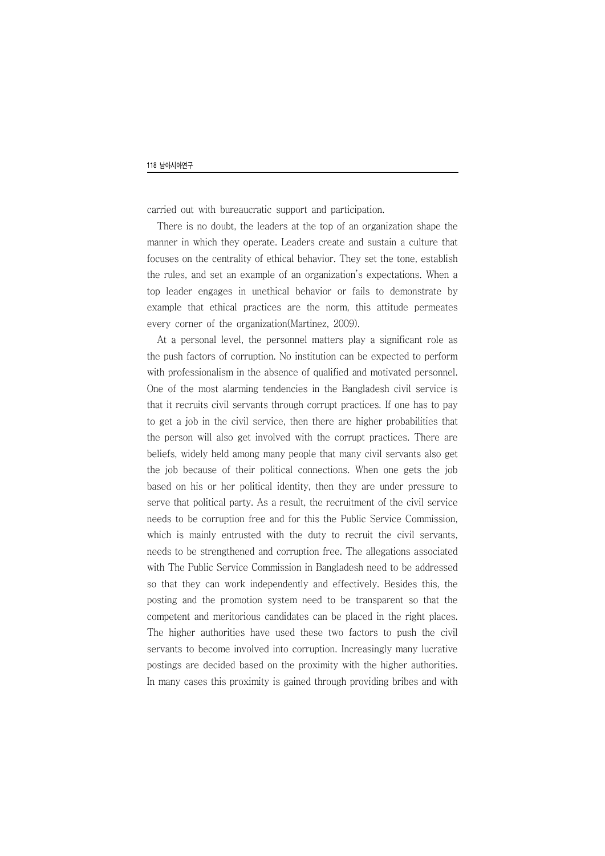carried out with bureaucratic support and participation.

There is no doubt, the leaders at the top of an organization shape the manner in which they operate. Leaders create and sustain a culture that focuses on the centrality of ethical behavior. They set the tone, establish the rules, and set an example of an organization's expectations. When a top leader engages in unethical behavior or fails to demonstrate by example that ethical practices are the norm, this attitude permeates every corner of the organization(Martinez, 2009).

At a personal level, the personnel matters play a significant role as the push factors of corruption. No institution can be expected to perform with professionalism in the absence of qualified and motivated personnel. One of the most alarming tendencies in the Bangladesh civil service is that it recruits civil servants through corrupt practices. If one has to pay to get a job in the civil service, then there are higher probabilities that the person will also get involved with the corrupt practices. There are beliefs, widely held among many people that many civil servants also get the job because of their political connections. When one gets the job based on his or her political identity, then they are under pressure to serve that political party. As a result, the recruitment of the civil service needs to be corruption free and for this the Public Service Commission, which is mainly entrusted with the duty to recruit the civil servants, needs to be strengthened and corruption free. The allegations associated with The Public Service Commission in Bangladesh need to be addressed so that they can work independently and effectively. Besides this, the posting and the promotion system need to be transparent so that the competent and meritorious candidates can be placed in the right places. The higher authorities have used these two factors to push the civil servants to become involved into corruption. Increasingly many lucrative postings are decided based on the proximity with the higher authorities. In many cases this proximity is gained through providing bribes and with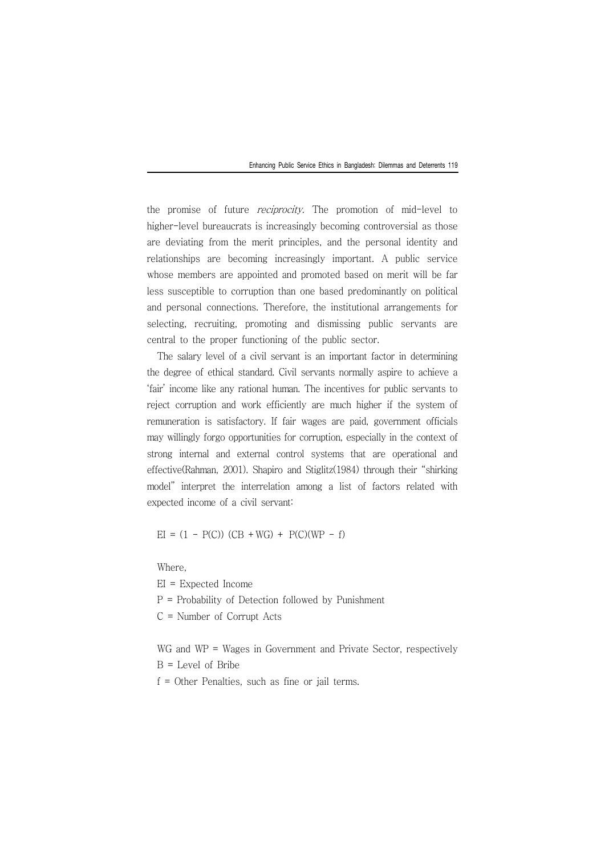the promise of future *reciprocity*. The promotion of mid-level to higher-level bureaucrats is increasingly becoming controversial as those are deviating from the merit principles, and the personal identity and relationships are becoming increasingly important. A public service whose members are appointed and promoted based on merit will be far less susceptible to corruption than one based predominantly on political and personal connections. Therefore, the institutional arrangements for selecting, recruiting, promoting and dismissing public servants are central to the proper functioning of the public sector.

The salary level of a civil servant is an important factor in determining the degree of ethical standard. Civil servants normally aspire to achieve a 'fair' income like any rational human. The incentives for public servants to reject corruption and work efficiently are much higher if the system of remuneration is satisfactory. If fair wages are paid, government officials may willingly forgo opportunities for corruption, especially in the context of strong internal and external control systems that are operational and effective(Rahman, 2001). Shapiro and Stiglitz(1984) through their "shirking model" interpret the interrelation among a list of factors related with expected income of a civil servant:

 $EI = (1 - P(C)) (CB + WG) + P(C)(WP - f)$ 

Where,

EI = Expected Income P = Probability of Detection followed by Punishment  $C =$  Number of Corrupt Acts

WG and WP = Wages in Government and Private Sector, respectively  $B = Level$  of Bribe f = Other Penalties, such as fine or jail terms.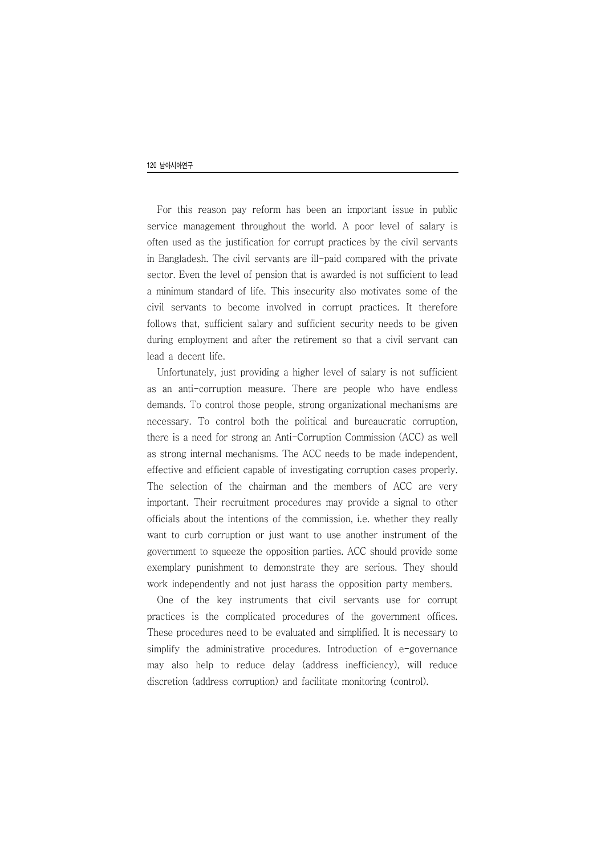For this reason pay reform has been an important issue in public service management throughout the world. A poor level of salary is often used as the justification for corrupt practices by the civil servants in Bangladesh. The civil servants are ill-paid compared with the private sector. Even the level of pension that is awarded is not sufficient to lead a minimum standard of life. This insecurity also motivates some of the civil servants to become involved in corrupt practices. It therefore follows that, sufficient salary and sufficient security needs to be given during employment and after the retirement so that a civil servant can lead a decent life.

Unfortunately, just providing a higher level of salary is not sufficient as an anti-corruption measure. There are people who have endless demands. To control those people, strong organizational mechanisms are necessary. To control both the political and bureaucratic corruption, there is a need for strong an Anti-Corruption Commission (ACC) as well as strong internal mechanisms. The ACC needs to be made independent, effective and efficient capable of investigating corruption cases properly. The selection of the chairman and the members of ACC are very important. Their recruitment procedures may provide a signal to other officials about the intentions of the commission, i.e. whether they really want to curb corruption or just want to use another instrument of the government to squeeze the opposition parties. ACC should provide some exemplary punishment to demonstrate they are serious. They should work independently and not just harass the opposition party members.

One of the key instruments that civil servants use for corrupt practices is the complicated procedures of the government offices. These procedures need to be evaluated and simplified. It is necessary to simplify the administrative procedures. Introduction of e-governance may also help to reduce delay (address inefficiency), will reduce discretion (address corruption) and facilitate monitoring (control).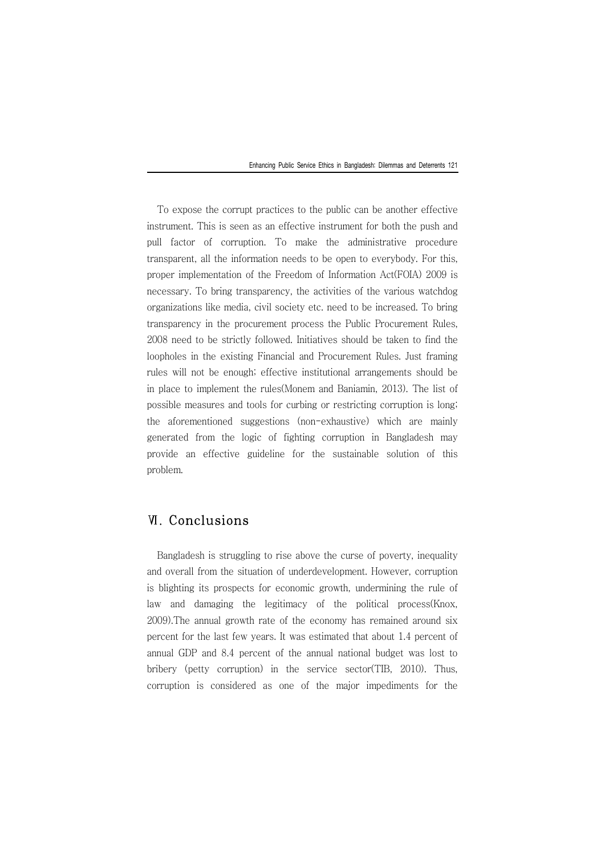To expose the corrupt practices to the public can be another effective instrument. This is seen as an effective instrument for both the push and pull factor of corruption. To make the administrative procedure transparent, all the information needs to be open to everybody. For this, proper implementation of the Freedom of Information Act(FOIA) 2009 is necessary. To bring transparency, the activities of the various watchdog organizations like media, civil society etc. need to be increased. To bring transparency in the procurement process the Public Procurement Rules, 2008 need to be strictly followed. Initiatives should be taken to find the loopholes in the existing Financial and Procurement Rules. Just framing rules will not be enough; effective institutional arrangements should be in place to implement the rules(Monem and Baniamin, 2013). The list of possible measures and tools for curbing or restricting corruption is long; the aforementioned suggestions (non-exhaustive) which are mainly generated from the logic of fighting corruption in Bangladesh may provide an effective guideline for the sustainable solution of this problem.

## Ⅵ. Conclusions

Bangladesh is struggling to rise above the curse of poverty, inequality and overall from the situation of underdevelopment. However, corruption is blighting its prospects for economic growth, undermining the rule of law and damaging the legitimacy of the political process(Knox, 2009).The annual growth rate of the economy has remained around six percent for the last few years. It was estimated that about 1.4 percent of annual GDP and 8.4 percent of the annual national budget was lost to bribery (petty corruption) in the service sector(TIB, 2010). Thus, corruption is considered as one of the major impediments for the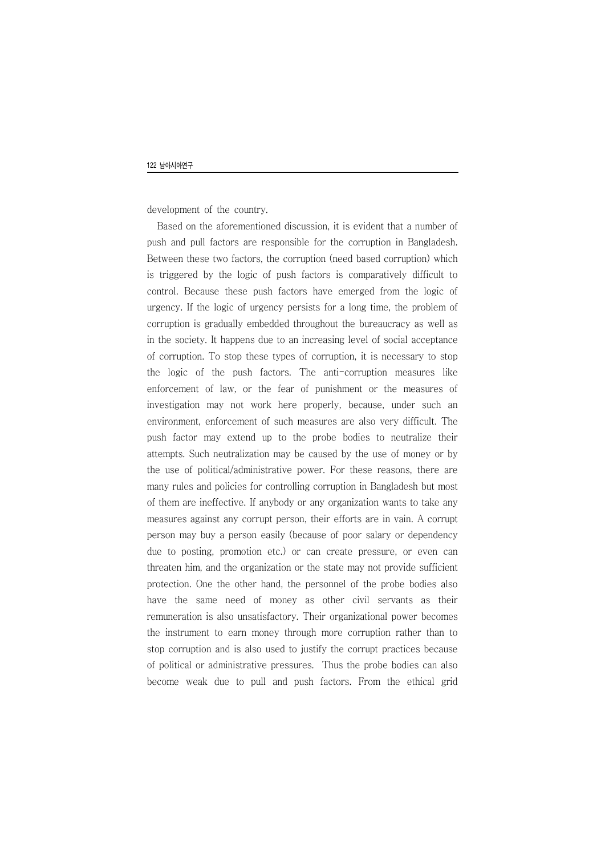development of the country.

Based on the aforementioned discussion, it is evident that a number of push and pull factors are responsible for the corruption in Bangladesh. Between these two factors, the corruption (need based corruption) which is triggered by the logic of push factors is comparatively difficult to control. Because these push factors have emerged from the logic of urgency. If the logic of urgency persists for a long time, the problem of corruption is gradually embedded throughout the bureaucracy as well as in the society. It happens due to an increasing level of social acceptance of corruption. To stop these types of corruption, it is necessary to stop the logic of the push factors. The anti-corruption measures like enforcement of law, or the fear of punishment or the measures of investigation may not work here properly, because, under such an environment, enforcement of such measures are also very difficult. The push factor may extend up to the probe bodies to neutralize their attempts. Such neutralization may be caused by the use of money or by the use of political/administrative power. For these reasons, there are many rules and policies for controlling corruption in Bangladesh but most of them are ineffective. If anybody or any organization wants to take any measures against any corrupt person, their efforts are in vain. A corrupt person may buy a person easily (because of poor salary or dependency due to posting, promotion etc.) or can create pressure, or even can threaten him, and the organization or the state may not provide sufficient protection. One the other hand, the personnel of the probe bodies also have the same need of money as other civil servants as their remuneration is also unsatisfactory. Their organizational power becomes the instrument to earn money through more corruption rather than to stop corruption and is also used to justify the corrupt practices because of political or administrative pressures. Thus the probe bodies can also become weak due to pull and push factors. From the ethical grid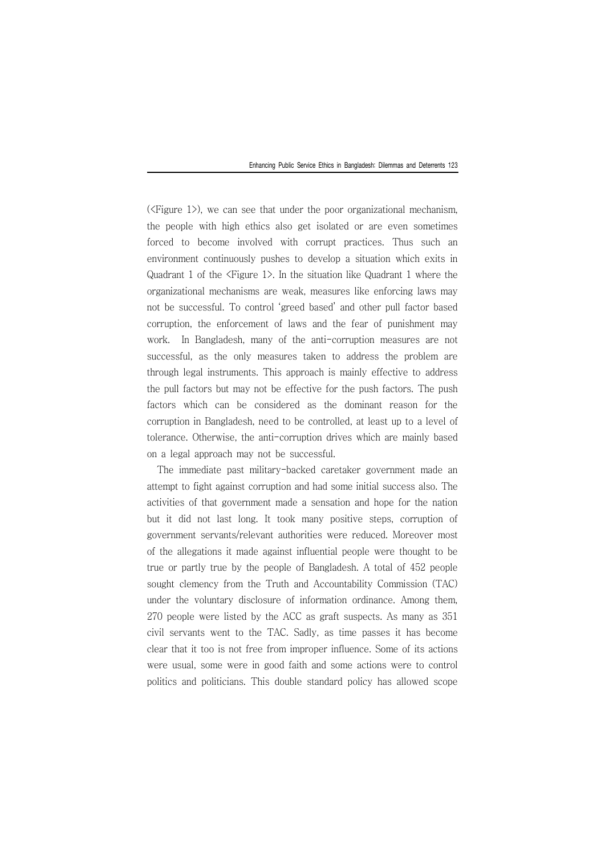( $\leq$ Figure 1>), we can see that under the poor organizational mechanism, the people with high ethics also get isolated or are even sometimes forced to become involved with corrupt practices. Thus such an environment continuously pushes to develop a situation which exits in Quadrant 1 of the <Figure 1>. In the situation like Quadrant 1 where the organizational mechanisms are weak, measures like enforcing laws may not be successful. To control 'greed based' and other pull factor based corruption, the enforcement of laws and the fear of punishment may work. In Bangladesh, many of the anti-corruption measures are not successful, as the only measures taken to address the problem are through legal instruments. This approach is mainly effective to address the pull factors but may not be effective for the push factors. The push factors which can be considered as the dominant reason for the corruption in Bangladesh, need to be controlled, at least up to a level of tolerance. Otherwise, the anti-corruption drives which are mainly based on a legal approach may not be successful.

The immediate past military-backed caretaker government made an attempt to fight against corruption and had some initial success also. The activities of that government made a sensation and hope for the nation but it did not last long. It took many positive steps, corruption of government servants/relevant authorities were reduced. Moreover most of the allegations it made against influential people were thought to be true or partly true by the people of Bangladesh. A total of 452 people sought clemency from the Truth and Accountability Commission (TAC) under the voluntary disclosure of information ordinance. Among them, 270 people were listed by the ACC as graft suspects. As many as 351 civil servants went to the TAC. Sadly, as time passes it has become clear that it too is not free from improper influence. Some of its actions were usual, some were in good faith and some actions were to control politics and politicians. This double standard policy has allowed scope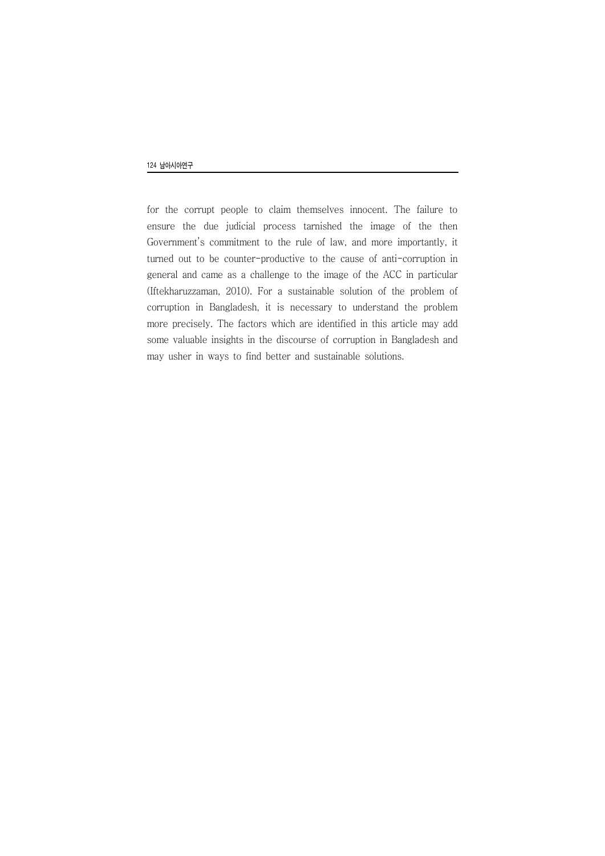for the corrupt people to claim themselves innocent. The failure to ensure the due judicial process tarnished the image of the then Government's commitment to the rule of law, and more importantly, it turned out to be counter-productive to the cause of anti-corruption in general and came as a challenge to the image of the ACC in particular (Iftekharuzzaman, 2010). For a sustainable solution of the problem of corruption in Bangladesh, it is necessary to understand the problem more precisely. The factors which are identified in this article may add some valuable insights in the discourse of corruption in Bangladesh and may usher in ways to find better and sustainable solutions.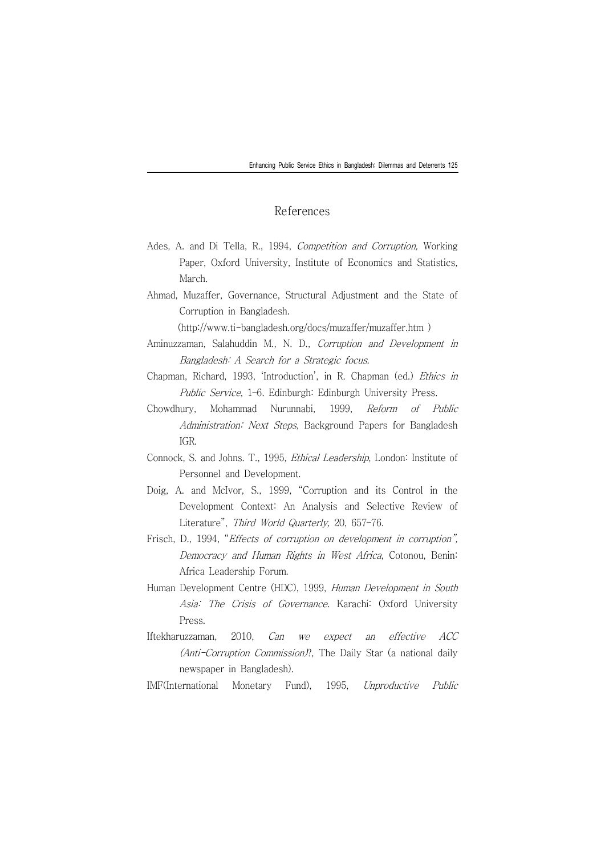#### References

- Ades, A. and Di Tella, R., 1994, *Competition and Corruption*, Working Paper, Oxford University, Institute of Economics and Statistics, March.
- Ahmad, Muzaffer, Governance, Structural Adjustment and the State of Corruption in Bangladesh.

(http://www.ti-bangladesh.org/docs/muzaffer/muzaffer.htm )

- Aminuzzaman, Salahuddin M., N. D., Corruption and Development in Bangladesh: A Search for a Strategic focus.
- Chapman, Richard, 1993, 'Introduction', in R. Chapman (ed.) Ethics in Public Service, 1–6. Edinburgh: Edinburgh University Press.
- Chowdhury, Mohammad Nurunnabi, 1999, Reform of Public Administration: Next Steps, Background Papers for Bangladesh IGR.
- Connock, S. and Johns. T., 1995, Ethical Leadership, London: Institute of Personnel and Development.
- Doig, A. and McIvor, S., 1999, "Corruption and its Control in the Development Context: An Analysis and Selective Review of Literature", Third World Quarterly, 20, 657–76.
- Frisch, D., 1994, "Effects of corruption on development in corruption", Democracy and Human Rights in West Africa, Cotonou, Benin: Africa Leadership Forum.
- Human Development Centre (HDC), 1999, Human Development in South Asia: The Crisis of Governance. Karachi: Oxford University Press.
- Iftekharuzzaman, 2010, Can we expect an effective ACC (Anti-Corruption Commission)?, The Daily Star (a national daily newspaper in Bangladesh).

IMF(International Monetary Fund), 1995, Unproductive Public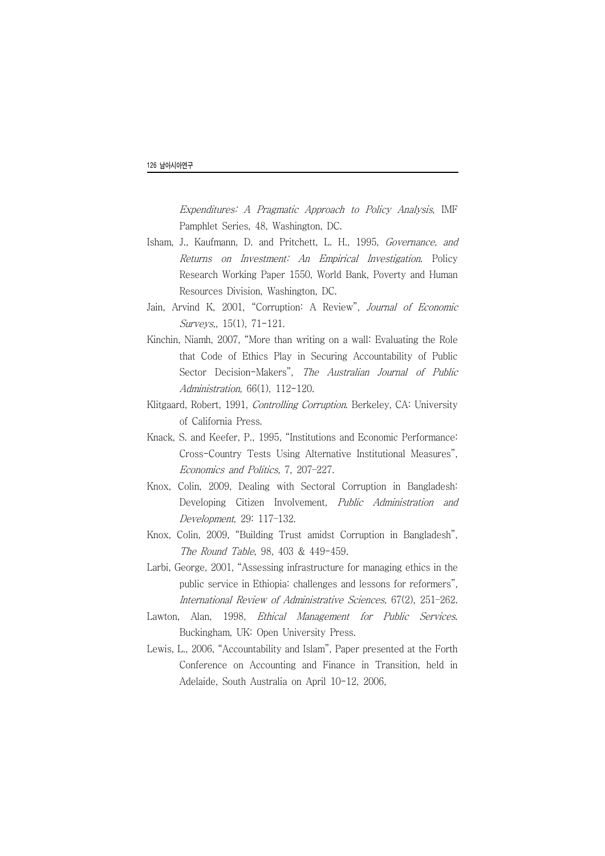Expenditures: A Pragmatic Approach to Policy Analysis, IMF Pamphlet Series, 48, Washington, DC.

- Isham, J., Kaufmann, D. and Pritchett, L. H., 1995, Governance, and Returns on Investment: An Empirical Investigation. Policy Research Working Paper 1550, World Bank, Poverty and Human Resources Division, Washington, DC.
- Jain, Arvind K, 2001, "Corruption: A Review", Journal of Economic Surveys,, 15(1), 71-121.
- Kinchin, Niamh, 2007, "More than writing on a wall: Evaluating the Role that Code of Ethics Play in Securing Accountability of Public Sector Decision-Makers", The Australian Journal of Public Administration, 66(1), 112-120.
- Klitgaard, Robert, 1991, Controlling Corruption. Berkeley, CA: University of California Press.
- Knack, S. and Keefer, P., 1995, "Institutions and Economic Performance: Cross-Country Tests Using Alternative Institutional Measures", Economics and Politics, 7, 207–227.
- Knox, Colin, 2009, Dealing with Sectoral Corruption in Bangladesh: Developing Citizen Involvement, Public Administration and Development, 29: 117–132.
- Knox, Colin, 2009, "Building Trust amidst Corruption in Bangladesh", The Round Table, 98, 403 & 449-459.
- Larbi, George, 2001, "Assessing infrastructure for managing ethics in the public service in Ethiopia: challenges and lessons for reformers", International Review of Administrative Sciences, 67(2), 251–262.
- Lawton, Alan, 1998, Ethical Management for Public Services. Buckingham, UK: Open University Press.
- Lewis, L., 2006, "Accountability and Islam", Paper presented at the Forth Conference on Accounting and Finance in Transition, held in Adelaide, South Australia on April 10-12, 2006,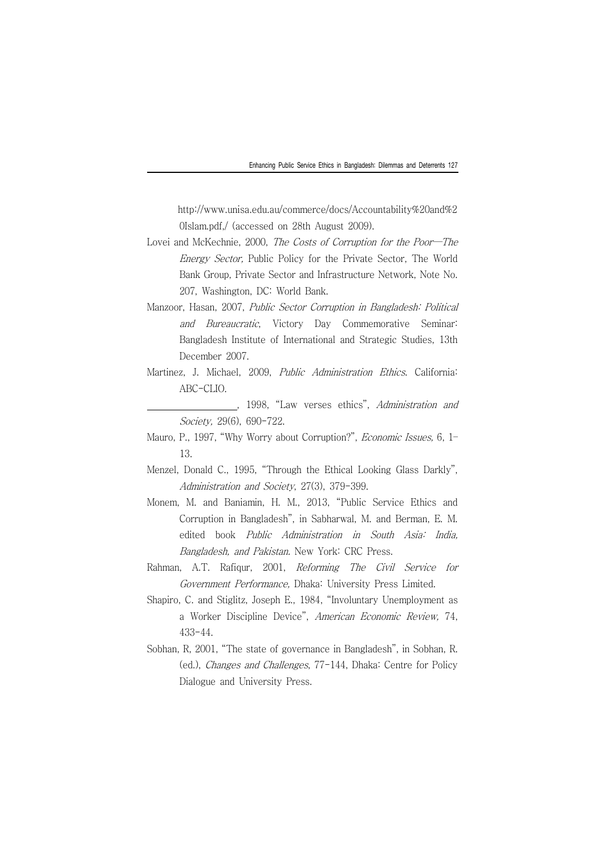http://www.unisa.edu.au/commerce/docs/Accountability%20and%2 0Islam.pdf,/ (accessed on 28th August 2009).

- Lovei and McKechnie, 2000, The Costs of Corruption for the Poor-The Energy Sector, Public Policy for the Private Sector, The World Bank Group, Private Sector and Infrastructure Network, Note No. 207, Washington, DC: World Bank.
- Manzoor, Hasan, 2007, Public Sector Corruption in Bangladesh: Political and Bureaucratic, Victory Day Commemorative Seminar: Bangladesh Institute of International and Strategic Studies, 13th December 2007.
- Martinez, J. Michael, 2009, Public Administration Ethics. California:  $ABC-CI$   $IO$ 
	- , 1998, "Law verses ethics", *Administration and* Society, 29(6), 690-722.
- Mauro, P., 1997, "Why Worry about Corruption?", *Economic Issues*, 6, 1-13.
- Menzel, Donald C., 1995, "Through the Ethical Looking Glass Darkly", Administration and Society, 27(3), 379-399.
- Monem, M. and Baniamin, H. M., 2013, "Public Service Ethics and Corruption in Bangladesh", in Sabharwal, M. and Berman, E. M. edited book Public Administration in South Asia: India, Bangladesh, and Pakistan. New York: CRC Press.
- Rahman, A.T. Rafiqur, 2001, Reforming The Civil Service for Government Performance, Dhaka: University Press Limited.
- Shapiro, C. and Stiglitz, Joseph E., 1984, "Involuntary Unemployment as a Worker Discipline Device", American Economic Review, 74, 433-44.
- Sobhan, R, 2001, "The state of governance in Bangladesh", in Sobhan, R. (ed.), Changes and Challenges, 77-144, Dhaka: Centre for Policy Dialogue and University Press.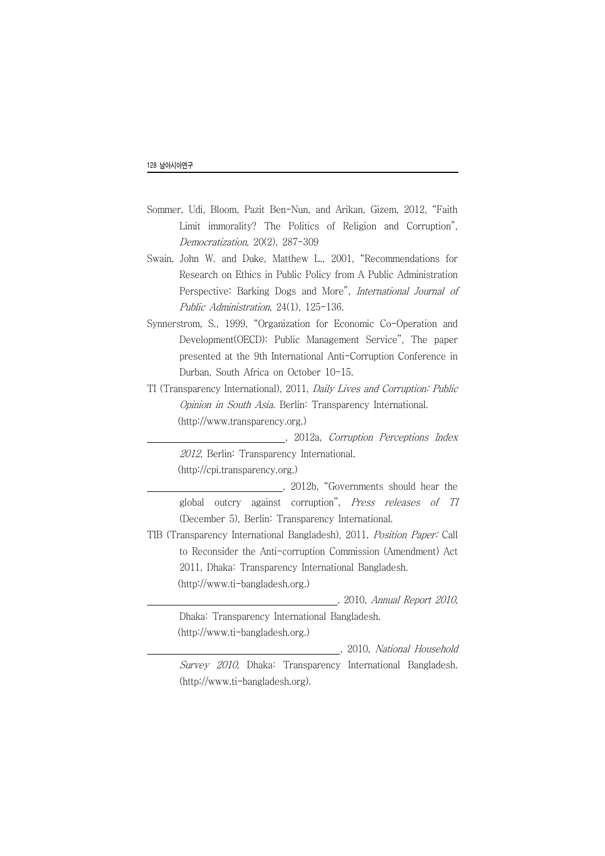- Sommer, Udi, Bloom, Pazit Ben-Nun, and Arikan, Gizem, 2012, "Faith Limit immorality? The Politics of Religion and Corruption", Democratization, 20(2), 287-309
- Swain, John W. and Duke, Matthew L., 2001, "Recommendations for Research on Ethics in Public Policy from A Public Administration Perspective: Barking Dogs and More", International Journal of Public Administration, 24(1), 125-136.
- Synnerstrom, S., 1999, "Organization for Economic Co-Operation and Development(OECD): Public Management Service", The paper presented at the 9th International Anti-Corruption Conference in Durban, South Africa on October 10-15.
- TI (Transparency International), 2011, Daily Lives and Corruption: Public Opinion in South Asia. Berlin: Transparency International. (http://www.transparency.org.)

. 2012a, Corruption Perceptions Index 2012, Berlin: Transparency International. (http://cpi.transparency.org.)

the 2012b, "Governments should hear the global outcry against corruption", Press releases of TI (December 5), Berlin: Transparency International.

TIB (Transparency International Bangladesh), 2011, Position Paper: Call to Reconsider the Anti-corruption Commission (Amendment) Act 2011, Dhaka: Transparency International Bangladesh.

(http://www.ti-bangladesh.org.)

TIB (TRansparency 2010, 2010, *2010, Annual Report 2010*,

Dhaka: Transparency International Bangladesh. (http://www.ti-bangladesh.org.)

tib (Transparency International Bangladesh, 2010, National Household Survey 2010, Dhaka: Transparency International Bangladesh. (http://www.ti-bangladesh.org).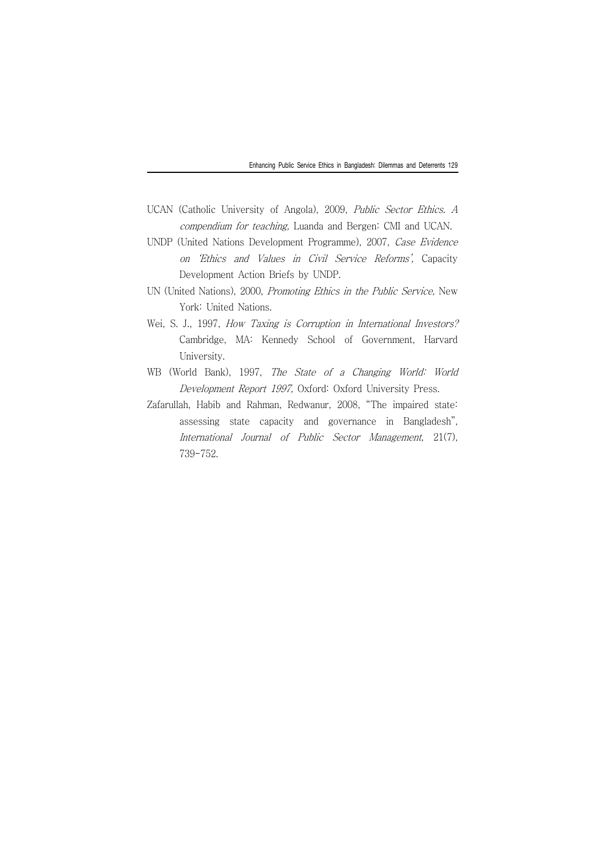- UCAN (Catholic University of Angola), 2009, Public Sector Ethics. A compendium for teaching, Luanda and Bergen: CMI and UCAN.
- UNDP (United Nations Development Programme), 2007, Case Evidence on 'Ethics and Values in Civil Service Reforms', Capacity Development Action Briefs by UNDP.
- UN (United Nations), 2000, Promoting Ethics in the Public Service, New York: United Nations.
- Wei, S. J., 1997, How Taxing is Corruption in International Investors? Cambridge, MA: Kennedy School of Government, Harvard University.
- WB (World Bank), 1997, The State of a Changing World: World Development Report 1997, Oxford: Oxford University Press.
- Zafarullah, Habib and Rahman, Redwanur, 2008, "The impaired state: assessing state capacity and governance in Bangladesh", International Journal of Public Sector Management, 21(7), 739-752.